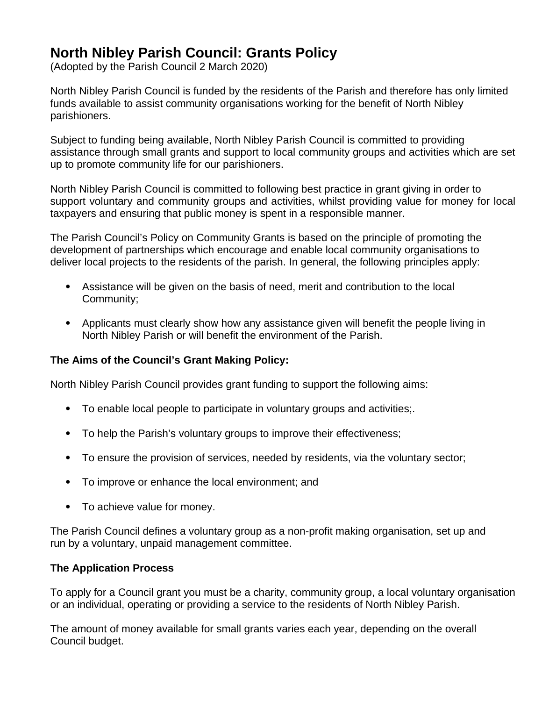# **North Nibley Parish Council: Grants Policy**

(Adopted by the Parish Council 2 March 2020)

North Nibley Parish Council is funded by the residents of the Parish and therefore has only limited funds available to assist community organisations working for the benefit of North Nibley parishioners.

Subject to funding being available, North Nibley Parish Council is committed to providing assistance through small grants and support to local community groups and activities which are set up to promote community life for our parishioners.

North Nibley Parish Council is committed to following best practice in grant giving in order to support voluntary and community groups and activities, whilst providing value for money for local taxpayers and ensuring that public money is spent in a responsible manner.

The Parish Council's Policy on Community Grants is based on the principle of promoting the development of partnerships which encourage and enable local community organisations to deliver local projects to the residents of the parish. In general, the following principles apply:

- Assistance will be given on the basis of need, merit and contribution to the local Community;
- Applicants must clearly show how any assistance given will benefit the people living in North Nibley Parish or will benefit the environment of the Parish.

## **The Aims of the Council's Grant Making Policy:**

North Nibley Parish Council provides grant funding to support the following aims:

- To enable local people to participate in voluntary groups and activities;.
- To help the Parish's voluntary groups to improve their effectiveness;
- To ensure the provision of services, needed by residents, via the voluntary sector;
- To improve or enhance the local environment; and
- To achieve value for money.

The Parish Council defines a voluntary group as a non-profit making organisation, set up and run by a voluntary, unpaid management committee.

## **The Application Process**

To apply for a Council grant you must be a charity, community group, a local voluntary organisation or an individual, operating or providing a service to the residents of North Nibley Parish.

The amount of money available for small grants varies each year, depending on the overall Council budget.